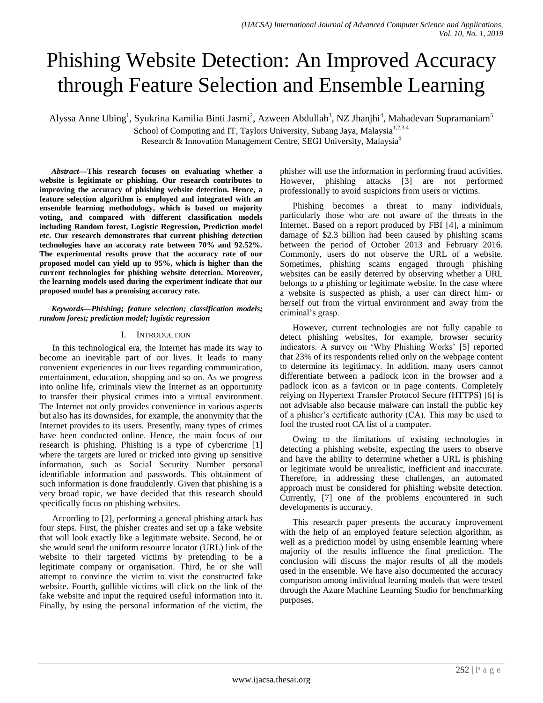# Phishing Website Detection: An Improved Accuracy through Feature Selection and Ensemble Learning

Alyssa Anne Ubing<sup>1</sup>, Syukrina Kamilia Binti Jasmi<sup>2</sup>, Azween Abdullah<sup>3</sup>, NZ Jhanjhi<sup>4</sup>, Mahadevan Supramaniam<sup>5</sup>

School of Computing and IT, Taylors University, Subang Jaya, Malaysia<sup>1,2,3,4</sup>

Research & Innovation Management Centre, SEGI University, Malaysia<sup>5</sup>

*Abstract***—This research focuses on evaluating whether a website is legitimate or phishing. Our research contributes to improving the accuracy of phishing website detection. Hence, a feature selection algorithm is employed and integrated with an ensemble learning methodology, which is based on majority voting, and compared with different classification models including Random forest, Logistic Regression, Prediction model etc. Our research demonstrates that current phishing detection technologies have an accuracy rate between 70% and 92.52%. The experimental results prove that the accuracy rate of our proposed model can yield up to 95%, which is higher than the current technologies for phishing website detection. Moreover, the learning models used during the experiment indicate that our proposed model has a promising accuracy rate.**

#### *Keywords—Phishing; feature selection; classification models; random forest; prediction model; logistic regression*

# I. INTRODUCTION

In this technological era, the Internet has made its way to become an inevitable part of our lives. It leads to many convenient experiences in our lives regarding communication, entertainment, education, shopping and so on. As we progress into online life, criminals view the Internet as an opportunity to transfer their physical crimes into a virtual environment. The Internet not only provides convenience in various aspects but also has its downsides, for example, the anonymity that the Internet provides to its users. Presently, many types of crimes have been conducted online. Hence, the main focus of our research is phishing. Phishing is a type of cybercrime [1] where the targets are lured or tricked into giving up sensitive information, such as Social Security Number personal identifiable information and passwords. This obtainment of such information is done fraudulently. Given that phishing is a very broad topic, we have decided that this research should specifically focus on phishing websites.

According to [2], performing a general phishing attack has four steps. First, the phisher creates and set up a fake website that will look exactly like a legitimate website. Second, he or she would send the uniform resource locator (URL) link of the website to their targeted victims by pretending to be a legitimate company or organisation. Third, he or she will attempt to convince the victim to visit the constructed fake website. Fourth, gullible victims will click on the link of the fake website and input the required useful information into it. Finally, by using the personal information of the victim, the phisher will use the information in performing fraud activities. However, phishing attacks [3] are not performed professionally to avoid suspicions from users or victims.

Phishing becomes a threat to many individuals, particularly those who are not aware of the threats in the Internet. Based on a report produced by FBI [4], a minimum damage of \$2.3 billion had been caused by phishing scams between the period of October 2013 and February 2016. Commonly, users do not observe the URL of a website. Sometimes, phishing scams engaged through phishing websites can be easily deterred by observing whether a URL belongs to a phishing or legitimate website. In the case where a website is suspected as phish, a user can direct him- or herself out from the virtual environment and away from the criminal's grasp.

However, current technologies are not fully capable to detect phishing websites, for example, browser security indicators. A survey on 'Why Phishing Works' [5] reported that 23% of its respondents relied only on the webpage content to determine its legitimacy. In addition, many users cannot differentiate between a padlock icon in the browser and a padlock icon as a favicon or in page contents. Completely relying on Hypertext Transfer Protocol Secure (HTTPS) [6] is not advisable also because malware can install the public key of a phisher"s certificate authority (CA). This may be used to fool the trusted root CA list of a computer.

Owing to the limitations of existing technologies in detecting a phishing website, expecting the users to observe and have the ability to determine whether a URL is phishing or legitimate would be unrealistic, inefficient and inaccurate. Therefore, in addressing these challenges, an automated approach must be considered for phishing website detection. Currently, [7] one of the problems encountered in such developments is accuracy.

This research paper presents the accuracy improvement with the help of an employed feature selection algorithm, as well as a prediction model by using ensemble learning where majority of the results influence the final prediction. The conclusion will discuss the major results of all the models used in the ensemble. We have also documented the accuracy comparison among individual learning models that were tested through the Azure Machine Learning Studio for benchmarking purposes.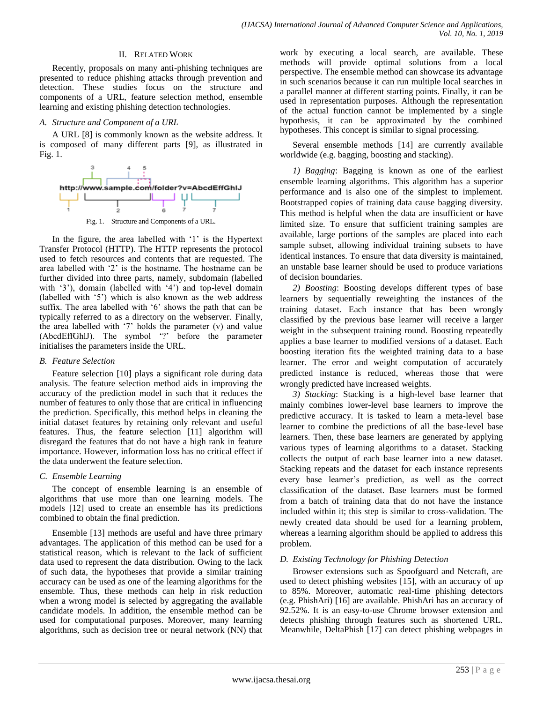### II. RELATED WORK

Recently, proposals on many anti-phishing techniques are presented to reduce phishing attacks through prevention and detection. These studies focus on the structure and components of a URL, feature selection method, ensemble learning and existing phishing detection technologies.

#### *A. Structure and Component of a URL*

A URL [8] is commonly known as the website address. It is composed of many different parts [9], as illustrated in Fig. 1.



Fig. 1. Structure and Components of a URL.

In the figure, the area labelled with '1' is the Hypertext Transfer Protocol (HTTP). The HTTP represents the protocol used to fetch resources and contents that are requested. The area labelled with "2" is the hostname. The hostname can be further divided into three parts, namely, subdomain (labelled with '3'), domain (labelled with '4') and top-level domain (labelled with "5") which is also known as the web address suffix. The area labelled with '6' shows the path that can be typically referred to as a directory on the webserver. Finally, the area labelled with  $\mathcal{L}$  holds the parameter (v) and value (AbcdEffGhlJ). The symbol "?" before the parameter initialises the parameters inside the URL.

### *B. Feature Selection*

Feature selection [10] plays a significant role during data analysis. The feature selection method aids in improving the accuracy of the prediction model in such that it reduces the number of features to only those that are critical in influencing the prediction. Specifically, this method helps in cleaning the initial dataset features by retaining only relevant and useful features. Thus, the feature selection [11] algorithm will disregard the features that do not have a high rank in feature importance. However, information loss has no critical effect if the data underwent the feature selection.

## *C. Ensemble Learning*

The concept of ensemble learning is an ensemble of algorithms that use more than one learning models. The models [12] used to create an ensemble has its predictions combined to obtain the final prediction.

Ensemble [13] methods are useful and have three primary advantages. The application of this method can be used for a statistical reason, which is relevant to the lack of sufficient data used to represent the data distribution. Owing to the lack of such data, the hypotheses that provide a similar training accuracy can be used as one of the learning algorithms for the ensemble. Thus, these methods can help in risk reduction when a wrong model is selected by aggregating the available candidate models. In addition, the ensemble method can be used for computational purposes. Moreover, many learning algorithms, such as decision tree or neural network (NN) that work by executing a local search, are available. These methods will provide optimal solutions from a local perspective. The ensemble method can showcase its advantage in such scenarios because it can run multiple local searches in a parallel manner at different starting points. Finally, it can be used in representation purposes. Although the representation of the actual function cannot be implemented by a single hypothesis, it can be approximated by the combined hypotheses. This concept is similar to signal processing.

Several ensemble methods [14] are currently available worldwide (e.g. bagging, boosting and stacking).

*1) Bagging*: Bagging is known as one of the earliest ensemble learning algorithms. This algorithm has a superior performance and is also one of the simplest to implement. Bootstrapped copies of training data cause bagging diversity. This method is helpful when the data are insufficient or have limited size. To ensure that sufficient training samples are available, large portions of the samples are placed into each sample subset, allowing individual training subsets to have identical instances. To ensure that data diversity is maintained, an unstable base learner should be used to produce variations of decision boundaries.

*2) Boosting*: Boosting develops different types of base learners by sequentially reweighting the instances of the training dataset. Each instance that has been wrongly classified by the previous base learner will receive a larger weight in the subsequent training round. Boosting repeatedly applies a base learner to modified versions of a dataset. Each boosting iteration fits the weighted training data to a base learner. The error and weight computation of accurately predicted instance is reduced, whereas those that were wrongly predicted have increased weights.

*3) Stacking*: Stacking is a high-level base learner that mainly combines lower-level base learners to improve the predictive accuracy. It is tasked to learn a meta-level base learner to combine the predictions of all the base-level base learners. Then, these base learners are generated by applying various types of learning algorithms to a dataset. Stacking collects the output of each base learner into a new dataset. Stacking repeats and the dataset for each instance represents every base learner"s prediction, as well as the correct classification of the dataset. Base learners must be formed from a batch of training data that do not have the instance included within it; this step is similar to cross-validation. The newly created data should be used for a learning problem, whereas a learning algorithm should be applied to address this problem.

## *D. Existing Technology for Phishing Detection*

Browser extensions such as Spoofguard and Netcraft, are used to detect phishing websites [15], with an accuracy of up to 85%. Moreover, automatic real-time phishing detectors (e.g. PhishAri) [16] are available. PhishAri has an accuracy of 92.52%. It is an easy-to-use Chrome browser extension and detects phishing through features such as shortened URL. Meanwhile, DeltaPhish [17] can detect phishing webpages in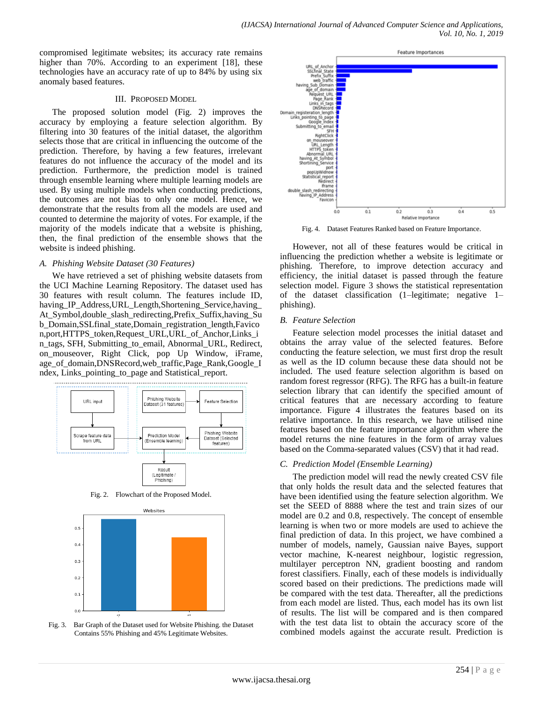compromised legitimate websites; its accuracy rate remains higher than 70%. According to an experiment [18], these technologies have an accuracy rate of up to 84% by using six anomaly based features.

### III. PROPOSED MODEL

The proposed solution model (Fig. 2) improves the accuracy by employing a feature selection algorithm. By filtering into 30 features of the initial dataset, the algorithm selects those that are critical in influencing the outcome of the prediction. Therefore, by having a few features, irrelevant features do not influence the accuracy of the model and its prediction. Furthermore, the prediction model is trained through ensemble learning where multiple learning models are used. By using multiple models when conducting predictions, the outcomes are not bias to only one model. Hence, we demonstrate that the results from all the models are used and counted to determine the majority of votes. For example, if the majority of the models indicate that a website is phishing, then, the final prediction of the ensemble shows that the website is indeed phishing.

### *A. Phishing Website Dataset (30 Features)*

We have retrieved a set of phishing website datasets from the UCI Machine Learning Repository. The dataset used has 30 features with result column. The features include ID, having\_IP\_Address,URL\_Length,Shortening\_Service,having\_ At\_Symbol,double\_slash\_redirecting,Prefix\_Suffix,having\_Su b\_Domain,SSLfinal\_state,Domain\_registration\_length,Favico n,port,HTTPS\_token,Request\_URL,URL\_of\_Anchor,Links\_i n\_tags, SFH, Submitting\_to\_email, Abnormal\_URL, Redirect, on mouseover, Right Click, pop Up Window, iFrame, age\_of\_domain,DNSRecord,web\_traffic,Page\_Rank,Google\_I ndex, Links\_pointing\_to\_page and Statistical\_report.



Fig. 2. Flowchart of the Proposed Model.



Fig. 3. Bar Graph of the Dataset used for Website Phishing. the Dataset Contains 55% Phishing and 45% Legitimate Websites.



Fig. 4. Dataset Features Ranked based on Feature Importance.

However, not all of these features would be critical in influencing the prediction whether a website is legitimate or phishing. Therefore, to improve detection accuracy and efficiency, the initial dataset is passed through the feature selection model. Figure 3 shows the statistical representation of the dataset classification (1–legitimate; negative 1– phishing).

### *B. Feature Selection*

Feature selection model processes the initial dataset and obtains the array value of the selected features. Before conducting the feature selection, we must first drop the result as well as the ID column because these data should not be included. The used feature selection algorithm is based on random forest regressor (RFG). The RFG has a built-in feature selection library that can identify the specified amount of critical features that are necessary according to feature importance. Figure 4 illustrates the features based on its relative importance. In this research, we have utilised nine features based on the feature importance algorithm where the model returns the nine features in the form of array values based on the Comma-separated values (CSV) that it had read.

### *C. Prediction Model (Ensemble Learning)*

The prediction model will read the newly created CSV file that only holds the result data and the selected features that have been identified using the feature selection algorithm. We set the SEED of 8888 where the test and train sizes of our model are 0.2 and 0.8, respectively. The concept of ensemble learning is when two or more models are used to achieve the final prediction of data. In this project, we have combined a number of models, namely, Gaussian naive Bayes, support vector machine, K-nearest neighbour, logistic regression, multilayer perceptron NN, gradient boosting and random forest classifiers. Finally, each of these models is individually scored based on their predictions. The predictions made will be compared with the test data. Thereafter, all the predictions from each model are listed. Thus, each model has its own list of results. The list will be compared and is then compared with the test data list to obtain the accuracy score of the combined models against the accurate result. Prediction is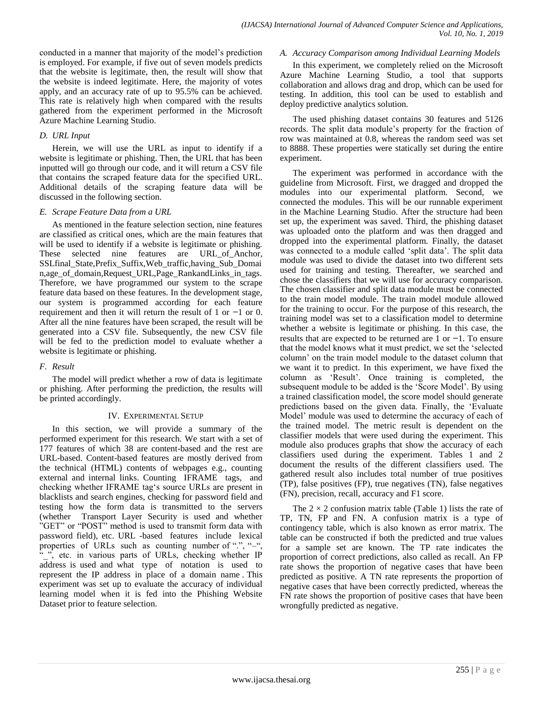conducted in a manner that majority of the model"s prediction is employed. For example, if five out of seven models predicts that the website is legitimate, then, the result will show that the website is indeed legitimate. Here, the majority of votes apply, and an accuracy rate of up to 95.5% can be achieved. This rate is relatively high when compared with the results gathered from the experiment performed in the Microsoft Azure Machine Learning Studio.

## *D. URL Input*

Herein, we will use the URL as input to identify if a website is legitimate or phishing. Then, the URL that has been inputted will go through our code, and it will return a CSV file that contains the scraped feature data for the specified URL. Additional details of the scraping feature data will be discussed in the following section.

## *E. Scrape Feature Data from a URL*

As mentioned in the feature selection section, nine features are classified as critical ones, which are the main features that will be used to identify if a website is legitimate or phishing. These selected nine features are URL\_of\_Anchor, SSLfinal\_State,Prefix\_Suffix,Web\_traffic,having\_Sub\_Domai n,age\_of\_domain,Request\_URL,Page\_RankandLinks\_in\_tags. Therefore, we have programmed our system to the scrape feature data based on these features. In the development stage, our system is programmed according for each feature requirement and then it will return the result of 1 or −1 or 0. After all the nine features have been scraped, the result will be generated into a CSV file. Subsequently, the new CSV file will be fed to the prediction model to evaluate whether a website is legitimate or phishing.

## *F. Result*

The model will predict whether a row of data is legitimate or phishing. After performing the prediction, the results will be printed accordingly.

## IV. EXPERIMENTAL SETUP

In this section, we will provide a summary of the performed experiment for this research. We start with a set of 177 features of which 38 are content-based and the rest are URL-based. Content-based features are mostly derived from the technical (HTML) contents of webpages e.g., counting external and internal links. Counting IFRAME tags, and checking whether IFRAME tag's source URLs are present in blacklists and search engines, checking for password field and testing how the form data is transmitted to the servers (whether Transport Layer Security is used and whether "GET" or "POST" method is used to transmit form data with password field), etc. URL -based features include lexical properties of URLs such as counting number of ".", "-", ", etc. in various parts of URLs, checking whether IP address is used and what type of notation is used to represent the IP address in place of a domain name . This experiment was set up to evaluate the accuracy of individual learning model when it is fed into the Phishing Website Dataset prior to feature selection.

# *A. Accuracy Comparison among Individual Learning Models*

In this experiment, we completely relied on the Microsoft Azure Machine Learning Studio, a tool that supports collaboration and allows drag and drop, which can be used for testing. In addition, this tool can be used to establish and deploy predictive analytics solution.

The used phishing dataset contains 30 features and 5126 records. The split data module"s property for the fraction of row was maintained at 0.8, whereas the random seed was set to 8888. These properties were statically set during the entire experiment.

The experiment was performed in accordance with the guideline from Microsoft. First, we dragged and dropped the modules into our experimental platform. Second, we connected the modules. This will be our runnable experiment in the Machine Learning Studio. After the structure had been set up, the experiment was saved. Third, the phishing dataset was uploaded onto the platform and was then dragged and dropped into the experimental platform. Finally, the dataset was connected to a module called 'split data'. The split data module was used to divide the dataset into two different sets used for training and testing. Thereafter, we searched and chose the classifiers that we will use for accuracy comparison. The chosen classifier and split data module must be connected to the train model module. The train model module allowed for the training to occur. For the purpose of this research, the training model was set to a classification model to determine whether a website is legitimate or phishing. In this case, the results that are expected to be returned are 1 or −1. To ensure that the model knows what it must predict, we set the "selected column" on the train model module to the dataset column that we want it to predict. In this experiment, we have fixed the column as "Result". Once training is completed, the subsequent module to be added is the 'Score Model'. By using a trained classification model, the score model should generate predictions based on the given data. Finally, the "Evaluate Model" module was used to determine the accuracy of each of the trained model. The metric result is dependent on the classifier models that were used during the experiment. This module also produces graphs that show the accuracy of each classifiers used during the experiment. Tables 1 and 2 document the results of the different classifiers used. The gathered result also includes total number of true positives (TP), false positives (FP), true negatives (TN), false negatives (FN), precision, recall, accuracy and F1 score.

The  $2 \times 2$  confusion matrix table (Table 1) lists the rate of TP, TN, FP and FN. A confusion matrix is a type of contingency table, which is also known as error matrix. The table can be constructed if both the predicted and true values for a sample set are known. The TP rate indicates the proportion of correct predictions, also called as recall. An FP rate shows the proportion of negative cases that have been predicted as positive. A TN rate represents the proportion of negative cases that have been correctly predicted, whereas the FN rate shows the proportion of positive cases that have been wrongfully predicted as negative.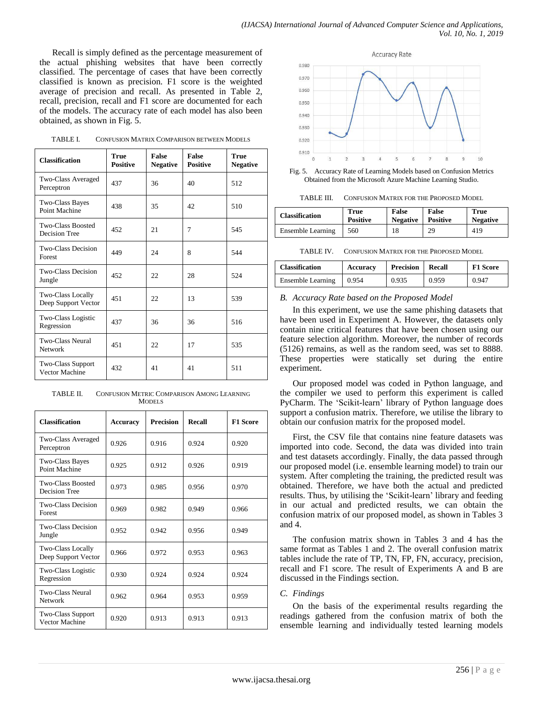Recall is simply defined as the percentage measurement of the actual phishing websites that have been correctly classified. The percentage of cases that have been correctly classified is known as precision. F1 score is the weighted average of precision and recall. As presented in Table 2, recall, precision, recall and F1 score are documented for each of the models. The accuracy rate of each model has also been obtained, as shown in Fig. 5.

| <b>Classification</b>                           | <b>True</b><br><b>Positive</b> | <b>False</b><br><b>Negative</b> | <b>False</b><br><b>Positive</b> | <b>True</b><br><b>Negative</b> |
|-------------------------------------------------|--------------------------------|---------------------------------|---------------------------------|--------------------------------|
| Two-Class Averaged<br>Perceptron                | 437                            | 36                              | 40                              | 512                            |
| <b>Two-Class Bayes</b><br>Point Machine         | 438                            | 35                              | 42                              | 510                            |
| Two-Class Boosted<br>Decision Tree              | 452                            | 21                              | 7                               | 545                            |
| <b>Two-Class Decision</b><br>Forest             | 449                            | 24                              | 8                               | 544                            |
| <b>Two-Class Decision</b><br>Jungle             | 452                            | 22                              | 28                              | 524                            |
| <b>Two-Class Locally</b><br>Deep Support Vector | 451                            | 22                              | 13                              | 539                            |
| Two-Class Logistic<br>Regression                | 437                            | 36                              | 36                              | 516                            |
| <b>Two-Class Neural</b><br><b>Network</b>       | 451                            | 22                              | 17                              | 535                            |
| Two-Class Support<br>Vector Machine             | 432                            | 41                              | 41                              | 511                            |

TABLE II. CONFUSION METRIC COMPARISON AMONG LEARNING MODELS

| <b>Classification</b>                           | <b>Accuracy</b> | <b>Precision</b> | <b>Recall</b> | <b>F1 Score</b> |
|-------------------------------------------------|-----------------|------------------|---------------|-----------------|
| Two-Class Averaged<br>Perceptron                | 0.926           | 0.916            | 0.924         | 0.920           |
| Two-Class Bayes<br>Point Machine                | 0.925           | 0.912            | 0.926         | 0.919           |
| <b>Two-Class Boosted</b><br>Decision Tree       | 0.973           | 0.985            | 0.956         | 0.970           |
| <b>Two-Class Decision</b><br>Forest             | 0.969           | 0.982            | 0.949         | 0.966           |
| <b>Two-Class Decision</b><br>Jungle             | 0.952           | 0.942            | 0.956         | 0.949           |
| <b>Two-Class Locally</b><br>Deep Support Vector | 0.966           | 0.972            | 0.953         | 0.963           |
| Two-Class Logistic<br>Regression                | 0.930           | 0.924            | 0.924         | 0.924           |
| <b>Two-Class Neural</b><br><b>Network</b>       | 0.962           | 0.964            | 0.953         | 0.959           |
| <b>Two-Class Support</b><br>Vector Machine      | 0.920           | 0.913            | 0.913         | 0.913           |



Fig. 5. Accuracy Rate of Learning Models based on Confusion Metrics Obtained from the Microsoft Azure Machine Learning Studio.

TABLE III. CONFUSION MATRIX FOR THE PROPOSED MODEL

| <b>Classification</b> | <b>True</b>     | <b>False</b>    | False           | True            |
|-----------------------|-----------------|-----------------|-----------------|-----------------|
|                       | <b>Positive</b> | <b>Negative</b> | <b>Positive</b> | <b>Negative</b> |
| Ensemble Learning     | 560             | 18              | 29              | 419             |

| TABLE IV. | <b>CONFUSION MATRIX FOR THE PROPOSED MODEL</b> |
|-----------|------------------------------------------------|
|-----------|------------------------------------------------|

| <b>Classification</b>    | <b>Accuracy</b> | <b>Precision</b> | Recall | <b>F1 Score</b> |
|--------------------------|-----------------|------------------|--------|-----------------|
| <b>Ensemble Learning</b> | 0.954           | 0.935            | 0.959  | 0.947           |

#### *B. Accuracy Rate based on the Proposed Model*

In this experiment, we use the same phishing datasets that have been used in Experiment A. However, the datasets only contain nine critical features that have been chosen using our feature selection algorithm. Moreover, the number of records (5126) remains, as well as the random seed, was set to 8888. These properties were statically set during the entire experiment.

Our proposed model was coded in Python language, and the compiler we used to perform this experiment is called PyCharm. The "Scikit-learn" library of Python language does support a confusion matrix. Therefore, we utilise the library to obtain our confusion matrix for the proposed model.

First, the CSV file that contains nine feature datasets was imported into code. Second, the data was divided into train and test datasets accordingly. Finally, the data passed through our proposed model (i.e. ensemble learning model) to train our system. After completing the training, the predicted result was obtained. Therefore, we have both the actual and predicted results. Thus, by utilising the 'Scikit-learn' library and feeding in our actual and predicted results, we can obtain the confusion matrix of our proposed model, as shown in Tables 3 and 4.

The confusion matrix shown in Tables 3 and 4 has the same format as Tables 1 and 2. The overall confusion matrix tables include the rate of TP, TN, FP, FN, accuracy, precision, recall and F1 score. The result of Experiments A and B are discussed in the Findings section.

### *C. Findings*

On the basis of the experimental results regarding the readings gathered from the confusion matrix of both the ensemble learning and individually tested learning models